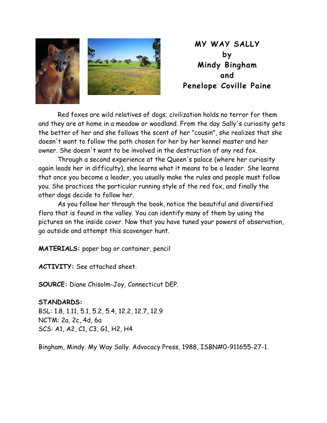

**MY WAY SALLY by Mindy Bingham and Penelope Coville Paine** 

 Red foxes are wild relatives of dogs; civilization holds no terror for them and they are at home in a meadow or woodland. From the day Sally's curiosity gets the better of her and she follows the scent of her "cousin", she realizes that she doesn't want to follow the path chosen for her by her kennel master and her owner. She doesn't want to be involved in the destruction of any red fox.

 Through a second experience at the Queen's palace (where her curiosity again leads her in difficulty), she learns what it means to be a leader. She learns that once you become a leader, you usually make the rules and people must follow you. She practices the particular running style of the red fox, and finally the other dogs decide to follow her.

 As you follow her through the book, notice the beautiful and diversified flora that is found in the valley. You can identify many of them by using the pictures on the inside cover. Now that you have tuned your powers of observation, go outside and attempt this scavenger hunt.

**MATERIALS:** paper bag or container, pencil

**ACTIVITY:** See attached sheet.

**SOURCE:** Diane Chisolm-Joy, Connecticut DEP.

## **STANDARDS:**

BSL: 1.8, 1.11, 5.1, 5.2, 5.4, 12.2, 12.7, 12.9 NCTM: 2a, 2c, 4d, 6a SCS: A1, A2, C1, C3, G1, H2, H4

Bingham, Mindy. My Way Sally. Advocacy Press, 1988, ISBN#0-911655-27-1.